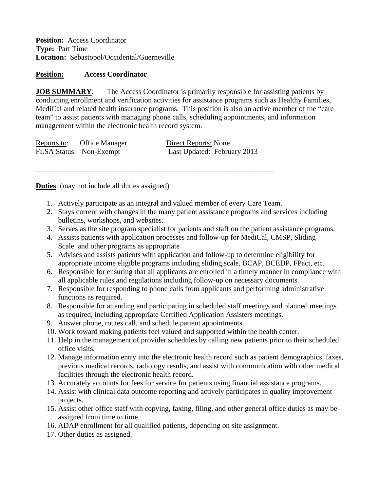**Position:** Access Coordinator **Type:** Part Time **Location:** Sebastopol/Occidental/Guerneville

## **Position: Access Coordinator**

**JOB SUMMARY:** The Access Coordinator is primarily responsible for assisting patients by conducting enrollment and verification activities for assistance programs such as Healthy Families, MediCal and related health insurance programs. This position is also an active member of the "care team" to assist patients with managing phone calls, scheduling appointments, and information management within the electronic health record system.

| Reports to: | Office Manager                 | Direct Reports: None               |
|-------------|--------------------------------|------------------------------------|
|             | <b>FLSA Status:</b> Non-Exempt | <b>Last Updated: February 2013</b> |

\_\_\_\_\_\_\_\_\_\_\_\_\_\_\_\_\_\_\_\_\_\_\_\_\_\_\_\_\_\_\_\_\_\_\_\_\_\_\_\_\_\_\_\_\_\_\_\_\_\_\_\_\_\_\_\_\_\_\_\_\_\_\_\_

**Duties**: (may not include all duties assigned)

- 1. Actively participate as an integral and valued member of every Care Team.
- 2. Stays current with changes in the many patient assistance programs and services including bulletins, workshops, and websites.
- 3. Serves as the site program specialist for patients and staff on the patient assistance programs.
- 4. Assists patients with application processes and follow-up for MediCal, CMSP, Sliding Scale and other programs as appropriate
- 5. Advises and assists patients with application and follow-up to determine eligibility for appropriate income eligible programs including sliding scale, BCAP, BCEDP, FPact, etc.
- 6. Responsible for ensuring that all applicants are enrolled in a timely manner in compliance with all applicable rules and regulations including follow-up on necessary documents.
- 7. Responsible for responding to phone calls from applicants and performing administrative functions as required.
- 8. Responsible for attending and participating in scheduled staff meetings and planned meetings as required, including appropriate Certified Application Assisters meetings.
- 9. Answer phone, routes call, and schedule patient appointments.
- 10. Work toward making patients feel valued and supported within the health center.
- 11. Help in the management of provider schedules by calling new patients prior to their scheduled office visits.
- 12. Manage information entry into the electronic health record such as patient demographics, faxes, previous medical records, radiology results, and assist with communication with other medical facilities through the electronic health record.
- 13. Accurately accounts for fees for service for patients using financial assistance programs.
- 14. Assist with clinical data outcome reporting and actively participates in quality improvement projects.
- 15. Assist other office staff with copying, faxing, filing, and other general office duties as may be assigned from time to time.
- 16. ADAP enrollment for all qualified patients, depending on site assignment.
- 17. Other duties as assigned.